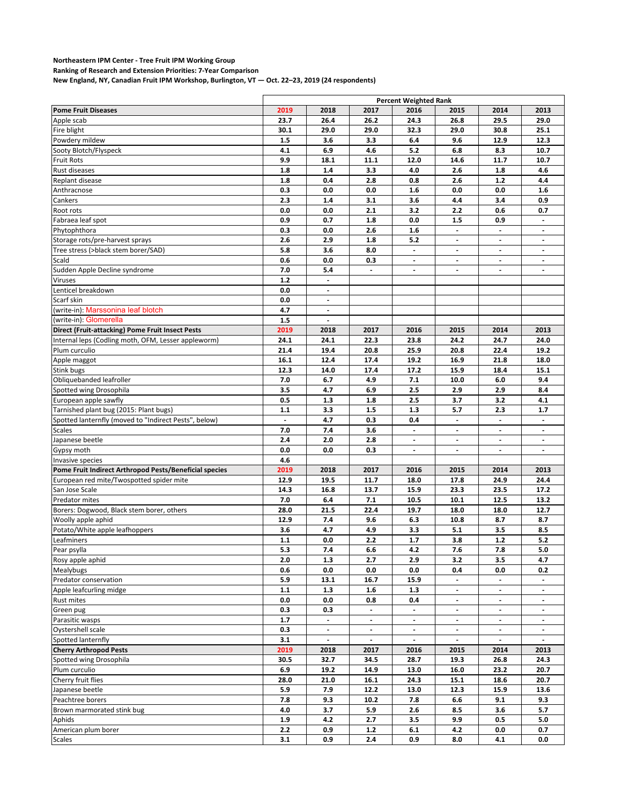## **Northeastern IPM Center - Tree Fruit IPM Working Group**

**Ranking of Research and Extension Priorities: 7-Year Comparison**

**New England, NY, Canadian Fruit IPM Workshop, Burlington, VT — Oct. 22–23, 2019 (24 respondents)**

|                                                        | <b>Percent Weighted Rank</b> |                          |                          |                          |                          |                          |                          |
|--------------------------------------------------------|------------------------------|--------------------------|--------------------------|--------------------------|--------------------------|--------------------------|--------------------------|
| <b>Pome Fruit Diseases</b>                             | 2019                         | 2018                     | 2017                     | 2016                     | 2015                     | 2014                     | 2013                     |
| Apple scab                                             | 23.7                         | 26.4                     | 26.2                     | 24.3                     | 26.8                     | 29.5                     | 29.0                     |
| Fire blight                                            | 30.1                         | 29.0                     | 29.0                     | 32.3                     | 29.0                     | 30.8                     | 25.1                     |
| Powdery mildew                                         | 1.5                          | 3.6                      | 3.3                      | 6.4                      | 9.6                      | 12.9                     | 12.3                     |
| Sooty Blotch/Flyspeck                                  | 4.1                          | 6.9                      | 4.6                      | 5.2                      | 6.8                      | 8.3                      | 10.7                     |
| <b>Fruit Rots</b>                                      | 9.9                          | 18.1                     | 11.1                     | 12.0                     | 14.6                     | 11.7                     | 10.7                     |
| Rust diseases                                          | 1.8                          | 1.4                      | 3.3                      | 4.0                      | 2.6                      | 1.8                      | 4.6                      |
| Replant disease                                        | 1.8                          | 0.4                      | 2.8                      | 0.8                      | 2.6                      | $1.2$                    | 4.4                      |
| Anthracnose                                            | 0.3                          | 0.0                      | 0.0                      | 1.6                      | 0.0                      | 0.0                      | 1.6                      |
| Cankers                                                | 2.3                          | 1.4                      | 3.1                      | 3.6                      | 4.4                      | 3.4                      | 0.9                      |
| Root rots                                              | 0.0                          | 0.0                      | 2.1                      | 3.2                      | 2.2                      | 0.6                      | 0.7                      |
|                                                        |                              |                          |                          |                          |                          |                          |                          |
| Fabraea leaf spot                                      | 0.9                          | 0.7                      | 1.8                      | 0.0                      | 1.5                      | 0.9                      | $\overline{\phantom{a}}$ |
| Phytophthora                                           | 0.3                          | 0.0                      | 2.6                      | 1.6                      | $\overline{\phantom{a}}$ | $\overline{\phantom{a}}$ | $\overline{\phantom{a}}$ |
| Storage rots/pre-harvest sprays                        | 2.6                          | 2.9                      | 1.8                      | 5.2                      | $\blacksquare$           | $\overline{\phantom{a}}$ |                          |
| Tree stress (>black stem borer/SAD)                    | 5.8                          | 3.6                      | 8.0                      | $\overline{\phantom{a}}$ | $\overline{\phantom{a}}$ | $\overline{\phantom{a}}$ | $\overline{\phantom{a}}$ |
| Scald                                                  | 0.6                          | 0.0                      | 0.3                      | $\overline{\phantom{a}}$ | $\overline{\phantom{a}}$ | $\overline{\phantom{a}}$ | $\overline{\phantom{a}}$ |
| Sudden Apple Decline syndrome                          | 7.0                          | 5.4                      | $\overline{a}$           |                          | $\blacksquare$           |                          |                          |
| <b>Viruses</b>                                         | $1.2$                        | $\overline{\phantom{a}}$ |                          |                          |                          |                          |                          |
| Lenticel breakdown                                     | 0.0                          |                          |                          |                          |                          |                          |                          |
| Scarf skin                                             | 0.0                          | $\blacksquare$           |                          |                          |                          |                          |                          |
| (write-in): Marssonina leaf blotch                     | 4.7                          | $\overline{\phantom{a}}$ |                          |                          |                          |                          |                          |
| (write-in): Glomerella                                 | 1.5                          |                          |                          |                          |                          |                          |                          |
| Direct (Fruit-attacking) Pome Fruit Insect Pests       | 2019                         | 2018                     | 2017                     | 2016                     | 2015                     | 2014                     | 2013                     |
| Internal leps (Codling moth, OFM, Lesser appleworm)    | 24.1                         | 24.1                     | 22.3                     | 23.8                     | 24.2                     | 24.7                     | 24.0                     |
| Plum curculio                                          | 21.4                         | 19.4                     | 20.8                     | 25.9                     | 20.8                     | 22.4                     | 19.2                     |
| Apple maggot                                           | 16.1                         | 12.4                     | 17.4                     | 19.2                     | 16.9                     | 21.8                     | 18.0                     |
| Stink bugs                                             | 12.3                         | 14.0                     | 17.4                     | 17.2                     | 15.9                     | 18.4                     | 15.1                     |
| Obliquebanded leafroller                               | 7.0                          | 6.7                      | 4.9                      | 7.1                      | 10.0                     | 6.0                      | 9.4                      |
| Spotted wing Drosophila                                | 3.5                          | 4.7                      | 6.9                      | 2.5                      | 2.9                      | 2.9                      | 8.4                      |
| European apple sawfly                                  | 0.5                          | 1.3                      | 1.8                      | 2.5                      | 3.7                      | 3.2                      | 4.1                      |
| Tarnished plant bug (2015: Plant bugs)                 | 1.1                          | 3.3                      | 1.5                      | 1.3                      | 5.7                      | 2.3                      | 1.7                      |
|                                                        |                              |                          |                          |                          |                          |                          |                          |
| Spotted lanternfly (moved to "Indirect Pests", below)  |                              | 4.7                      | 0.3                      | 0.4                      | $\overline{\phantom{a}}$ | $\overline{\phantom{a}}$ | $\blacksquare$           |
| <b>Scales</b>                                          | 7.0                          | 7.4                      | 3.6                      | $\overline{\phantom{a}}$ |                          |                          |                          |
| Japanese beetle                                        | 2.4                          | 2.0                      | 2.8                      | $\overline{\phantom{a}}$ | $\overline{\phantom{a}}$ | $\overline{\phantom{a}}$ | $\overline{\phantom{a}}$ |
| Gypsy moth                                             | 0.0                          | 0.0                      | 0.3                      | $\blacksquare$           | $\overline{\phantom{a}}$ | $\overline{\phantom{a}}$ | $\overline{\phantom{a}}$ |
| Invasive species                                       | 4.6                          |                          |                          |                          |                          |                          |                          |
| Pome Fruit Indirect Arthropod Pests/Beneficial species | 2019                         | 2018                     | 2017                     | 2016                     | 2015                     | 2014                     | 2013                     |
| European red mite/Twospotted spider mite               | 12.9                         | 19.5                     | 11.7                     | 18.0                     | 17.8                     | 24.9                     | 24.4                     |
| San Jose Scale                                         | 14.3                         | 16.8                     | 13.7                     | 15.9                     | 23.3                     | 23.5                     | 17.2                     |
| <b>Predator mites</b>                                  | 7.0                          | 6.4                      | 7.1                      | 10.5                     | 10.1                     | 12.5                     | 13.2                     |
| Borers: Dogwood, Black stem borer, others              | 28.0                         | 21.5                     | 22.4                     | 19.7                     | 18.0                     | 18.0                     | 12.7                     |
| Woolly apple aphid                                     | 12.9                         | 7.4                      | 9.6                      | 6.3                      | 10.8                     | 8.7                      | 8.7                      |
| Potato/White apple leafhoppers                         | 3.6                          | 4.7                      | 4.9                      | 3.3                      | 5.1                      | 3.5                      | 8.5                      |
| Leafminers                                             | 1.1                          | 0.0                      | 2.2                      | 1.7                      | 3.8                      | $1.2$                    | 5.2                      |
| Pear psylla                                            | 5.3                          | 7.4                      | 6.6                      | 4.2                      | 7.6                      | 7.8                      | 5.0                      |
| Rosy apple aphid                                       | 2.0                          | 1.3                      | 2.7                      | 2.9                      | 3.2                      | 3.5                      | 4.7                      |
| Mealybugs                                              | 0.6                          | 0.0                      | 0.0                      | 0.0                      | 0.4                      | 0.0                      | 0.2                      |
| Predator conservation                                  | 5.9                          | 13.1                     | 16.7                     | 15.9                     | $\blacksquare$           | $\overline{\phantom{a}}$ | $\blacksquare$           |
| Apple leafcurling midge                                | $1.1$                        | 1.3                      | $1.6\,$                  | 1.3                      | $\overline{\phantom{a}}$ | $\overline{\phantom{a}}$ | $\blacksquare$           |
| Rust mites                                             | 0.0                          | 0.0                      | 0.8                      | 0.4                      |                          |                          |                          |
| Green pug                                              | 0.3                          | 0.3                      | $\overline{\phantom{a}}$ | $\overline{\phantom{a}}$ | $\blacksquare$           | $\overline{\phantom{a}}$ | $\overline{\phantom{a}}$ |
| Parasitic wasps                                        | 1.7                          | $\overline{\phantom{a}}$ | $\overline{\phantom{a}}$ | $\overline{\phantom{a}}$ | $\overline{\phantom{a}}$ | $\overline{\phantom{a}}$ | $\overline{\phantom{a}}$ |
| Oystershell scale                                      | 0.3                          | $\blacksquare$           | $\blacksquare$           | $\blacksquare$           | $\blacksquare$           | $\blacksquare$           |                          |
|                                                        |                              |                          |                          |                          |                          |                          |                          |
| Spotted lanternfly                                     | 3.1                          | $\overline{\phantom{a}}$ | $\overline{\phantom{a}}$ | $\overline{\phantom{a}}$ | $\overline{\phantom{a}}$ | $\overline{\phantom{a}}$ | $\overline{\phantom{a}}$ |
| <b>Cherry Arthropod Pests</b>                          | 2019                         | 2018                     | 2017                     | 2016                     | 2015                     | 2014                     | 2013                     |
| Spotted wing Drosophila                                | 30.5                         | 32.7                     | 34.5                     | 28.7                     | 19.3                     | 26.8                     | 24.3                     |
| Plum curculio                                          | 6.9                          | 19.2                     | 14.9                     | 13.0                     | 16.0                     | 23.2                     | 20.7                     |
| Cherry fruit flies                                     | 28.0                         | 21.0                     | 16.1                     | 24.3                     | 15.1                     | 18.6                     | 20.7                     |
| Japanese beetle                                        | 5.9                          | 7.9                      | 12.2                     | 13.0                     | 12.3                     | 15.9                     | 13.6                     |
| Peachtree borers                                       | 7.8                          | 9.3                      | 10.2                     | 7.8                      | 6.6                      | 9.1                      | 9.3                      |
| Brown marmorated stink bug                             | 4.0                          | 3.7                      | 5.9                      | 2.6                      | 8.5                      | 3.6                      | 5.7                      |
| Aphids                                                 | 1.9                          | 4.2                      | 2.7                      | 3.5                      | 9.9                      | 0.5                      | 5.0                      |
| American plum borer                                    | 2.2                          | 0.9                      | $1.2$                    | 6.1                      | 4.2                      | 0.0                      | 0.7                      |
| <b>Scales</b>                                          | 3.1                          | 0.9                      | 2.4                      | 0.9                      | 8.0                      | 4.1                      | 0.0                      |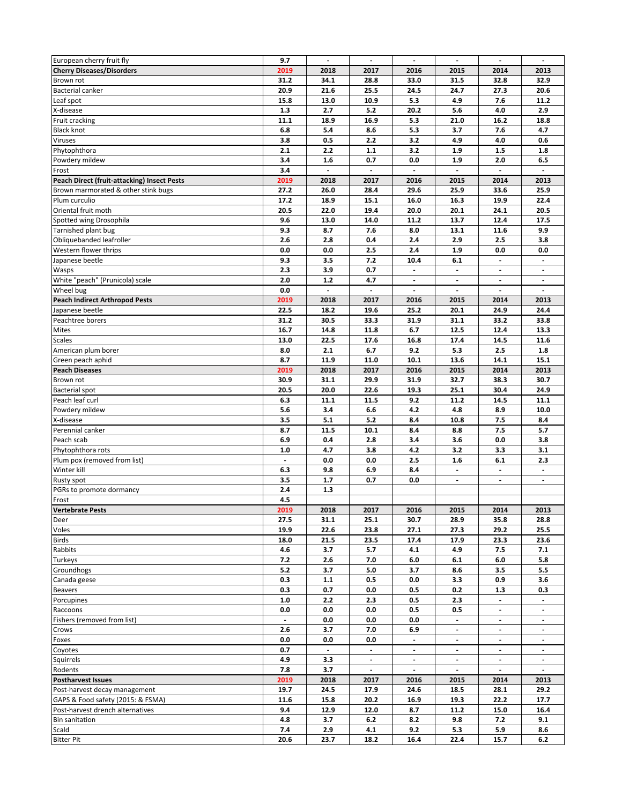| European cherry fruit fly                          | 9.7                      | $\overline{\phantom{a}}$ | $\overline{\phantom{a}}$ | $\overline{\phantom{a}}$ | $\overline{\phantom{a}}$ | $\overline{\phantom{a}}$ | $\overline{\phantom{a}}$ |
|----------------------------------------------------|--------------------------|--------------------------|--------------------------|--------------------------|--------------------------|--------------------------|--------------------------|
| <b>Cherry Diseases/Disorders</b>                   | 2019                     | 2018                     | 2017                     | 2016                     | 2015                     | 2014                     | 2013                     |
| Brown rot                                          | 31.2                     | 34.1                     | 28.8                     | 33.0                     | 31.5                     | 32.8                     | 32.9                     |
| <b>Bacterial canker</b>                            | 20.9                     | 21.6                     | 25.5                     | 24.5                     | 24.7                     | 27.3                     | 20.6                     |
| Leaf spot                                          | 15.8                     | 13.0                     | 10.9                     | 5.3                      | 4.9                      | 7.6                      | 11.2                     |
| X-disease                                          | 1.3                      | 2.7                      | 5.2                      | 20.2                     | 5.6                      | 4.0                      | 2.9                      |
| Fruit cracking                                     | 11.1                     | 18.9                     | 16.9                     | 5.3                      | 21.0                     | 16.2                     | 18.8                     |
| <b>Black knot</b>                                  | 6.8                      | 5.4                      | 8.6                      | 5.3                      | 3.7                      | 7.6                      | 4.7                      |
| <b>Viruses</b>                                     | 3.8                      | 0.5                      | 2.2                      | 3.2                      | 4.9                      | 4.0                      | 0.6                      |
| Phytophthora                                       | 2.1                      | 2.2                      | $1.1$                    | 3.2                      | 1.9                      | 1.5                      | 1.8                      |
| Powdery mildew                                     | 3.4                      | 1.6                      | 0.7                      | 0.0                      | 1.9                      | 2.0                      | 6.5                      |
| Frost                                              | 3.4                      | $\blacksquare$           | $\blacksquare$           | $\blacksquare$           | $\blacksquare$           | $\blacksquare$           | $\blacksquare$           |
| <b>Peach Direct (fruit-attacking) Insect Pests</b> | 2019                     | 2018                     | 2017                     | 2016                     | 2015                     | 2014                     | 2013                     |
| Brown marmorated & other stink bugs                | 27.2                     | 26.0                     | 28.4                     | 29.6                     | 25.9                     | 33.6                     | 25.9                     |
| Plum curculio                                      | 17.2                     | 18.9                     | 15.1                     | 16.0                     | 16.3                     | 19.9                     | 22.4                     |
| Oriental fruit moth                                | 20.5                     | 22.0                     | 19.4                     | 20.0                     | 20.1                     | 24.1                     | 20.5                     |
| Spotted wing Drosophila                            | 9.6                      | 13.0                     | 14.0                     | 11.2                     | 13.7                     | 12.4                     | 17.5                     |
| Tarnished plant bug                                | 9.3                      | 8.7                      | 7.6                      | 8.0                      | 13.1                     | 11.6                     | 9.9                      |
| Obliquebanded leafroller                           | 2.6                      | 2.8                      | 0.4                      | 2.4                      | 2.9                      | 2.5                      | 3.8                      |
| Western flower thrips                              | 0.0                      | 0.0                      | 2.5                      | 2.4                      | 1.9                      | 0.0                      | 0.0                      |
| Japanese beetle                                    | 9.3                      | 3.5                      | $7.2$                    | 10.4                     | 6.1                      | $\blacksquare$           |                          |
| Wasps                                              | 2.3                      | 3.9                      | 0.7                      | $\overline{\phantom{a}}$ | $\blacksquare$           | $\overline{\phantom{a}}$ | $\blacksquare$           |
| White "peach" (Prunicola) scale                    | 2.0                      | $1.2$                    | 4.7                      | $\overline{\phantom{a}}$ | $\overline{\phantom{a}}$ | $\overline{\phantom{a}}$ | $\overline{\phantom{a}}$ |
| Wheel bug                                          | 0.0                      |                          |                          |                          |                          |                          |                          |
| <b>Peach Indirect Arthropod Pests</b>              | 2019                     | 2018                     | 2017                     | 2016                     | 2015                     | 2014                     | 2013                     |
| Japanese beetle                                    | 22.5                     | 18.2                     | 19.6                     | 25.2                     | 20.1                     | 24.9                     | 24.4                     |
| Peachtree borers                                   | 31.2                     | 30.5                     | 33.3                     | 31.9                     | 31.1                     | 33.2                     | 33.8                     |
| Mites                                              | 16.7                     | 14.8                     | 11.8                     | 6.7                      | 12.5                     | 12.4                     | 13.3                     |
| <b>Scales</b>                                      | 13.0                     | 22.5                     | 17.6                     | 16.8                     | 17.4                     | 14.5                     | 11.6                     |
| American plum borer                                | 8.0                      | 2.1                      | 6.7                      | 9.2                      | 5.3                      | 2.5                      | 1.8                      |
|                                                    | 8.7                      | 11.9                     |                          | 10.1                     |                          | 14.1                     | 15.1                     |
| Green peach aphid                                  | 2019                     |                          | 11.0<br>2017             |                          | 13.6                     |                          | 2013                     |
| <b>Peach Diseases</b>                              |                          | 2018                     |                          | 2016                     | 2015                     | 2014                     | 30.7                     |
| Brown rot                                          | 30.9                     | 31.1                     | 29.9                     | 31.9                     | 32.7                     | 38.3                     |                          |
| <b>Bacterial spot</b>                              | 20.5                     | 20.0                     | 22.6                     | 19.3                     | 25.1                     | 30.4                     | 24.9                     |
| Peach leaf curl                                    | 6.3                      | 11.1                     | 11.5                     | 9.2                      | 11.2                     | 14.5                     | 11.1                     |
| Powdery mildew                                     | 5.6                      | 3.4                      | 6.6                      | 4.2                      | 4.8                      | 8.9                      | 10.0                     |
| X-disease                                          | 3.5                      | 5.1                      | 5.2                      | 8.4                      | 10.8                     | 7.5                      | 8.4                      |
| Perennial canker                                   | 8.7                      | 11.5                     | 10.1                     | 8.4                      | 8.8                      | 7.5                      | 5.7                      |
| Peach scab                                         | 6.9                      | 0.4                      | 2.8                      | 3.4                      | 3.6                      | 0.0                      | 3.8                      |
| Phytophthora rots                                  | 1.0                      | 4.7                      | 3.8                      | 4.2                      | 3.2                      | 3.3                      | 3.1                      |
| Plum pox (removed from list)                       | $\overline{\phantom{a}}$ | 0.0                      | 0.0                      | 2.5                      | 1.6                      | 6.1                      | 2.3                      |
| Winter kill                                        | 6.3                      | 9.8                      | 6.9                      | 8.4                      | $\overline{\phantom{a}}$ | $\overline{\phantom{a}}$ | $\overline{\phantom{a}}$ |
| Rusty spot                                         | 3.5                      | 1.7                      | 0.7                      | 0.0                      | $\overline{\phantom{a}}$ | $\overline{\phantom{a}}$ | $\overline{\phantom{a}}$ |
| PGRs to promote dormancy                           | 2.4                      | 1.3                      |                          |                          |                          |                          |                          |
| Frost                                              | 4.5                      |                          |                          |                          |                          |                          |                          |
| <b>Vertebrate Pests</b>                            | 2019                     | 2018                     | 2017                     | 2016                     | 2015                     | 2014                     | 2013                     |
| Deer                                               | 27.5                     | 31.1                     | 25.1                     | 30.7                     | 28.9                     | 35.8                     | 28.8                     |
| Voles                                              | 19.9                     | 22.6                     | 23.8                     | 27.1                     | 27.3                     | 29.2                     | 25.5                     |
| <b>Birds</b>                                       | 18.0                     | 21.5                     | 23.5                     | 17.4                     | 17.9                     | 23.3                     | 23.6                     |
| Rabbits                                            | 4.6                      | 3.7                      | 5.7                      | 4.1                      | 4.9                      | 7.5                      | 7.1                      |
| Turkeys                                            | 7.2                      | 2.6                      | 7.0                      | 6.0                      | 6.1                      | 6.0                      | 5.8                      |
| Groundhogs                                         | 5.2                      | 3.7                      | 5.0                      | 3.7                      | 8.6                      | 3.5                      | 5.5                      |
| Canada geese                                       | 0.3                      | 1.1                      | 0.5                      | 0.0                      | 3.3                      | 0.9                      | 3.6                      |
| <b>Beavers</b>                                     | 0.3                      | 0.7                      | 0.0                      | 0.5                      | 0.2                      | 1.3                      | 0.3                      |
| Porcupines                                         | 1.0                      | 2.2                      | 2.3                      | 0.5                      | 2.3                      |                          |                          |
| Raccoons                                           | 0.0                      | 0.0                      | 0.0                      | 0.5                      | 0.5                      | $\overline{\phantom{a}}$ |                          |
| Fishers (removed from list)                        |                          | 0.0                      | 0.0                      | 0.0                      |                          |                          |                          |
| Crows                                              | 2.6                      | 3.7                      | 7.0                      | 6.9                      | $\blacksquare$           | $\overline{\phantom{a}}$ | $\blacksquare$           |
| Foxes                                              | 0.0                      | 0.0                      | 0.0                      |                          | -                        | $\overline{\phantom{a}}$ |                          |
| Coyotes                                            | 0.7                      |                          |                          |                          |                          |                          |                          |
| Squirrels                                          | 4.9                      | 3.3                      | $\overline{\phantom{a}}$ | $\overline{\phantom{a}}$ | $\blacksquare$           | $\overline{\phantom{a}}$ | $\overline{\phantom{a}}$ |
| Rodents                                            | 7.8                      | 3.7                      | $\overline{\phantom{a}}$ | $\blacksquare$           | $\overline{\phantom{a}}$ | $\overline{\phantom{a}}$ | $\overline{\phantom{a}}$ |
| <b>Postharvest Issues</b>                          | 2019                     | 2018                     | 2017                     | 2016                     | 2015                     | 2014                     | 2013                     |
| Post-harvest decay management                      | 19.7                     | 24.5                     | 17.9                     | 24.6                     | 18.5                     | 28.1                     | 29.2                     |
| GAPS & Food safety (2015: & FSMA)                  | 11.6                     | 15.8                     | 20.2                     | 16.9                     | 19.3                     | 22.2                     | 17.7                     |
| Post-harvest drench alternatives                   | 9.4                      | 12.9                     | 12.0                     | 8.7                      | 11.2                     | 15.0                     | 16.4                     |
| <b>Bin sanitation</b>                              | 4.8                      | 3.7                      | 6.2                      | 8.2                      | 9.8                      | 7.2                      | 9.1                      |
| Scald                                              | 7.4                      | 2.9                      | 4.1                      | 9.2                      | 5.3                      | 5.9                      | 8.6                      |
| <b>Bitter Pit</b>                                  | 20.6                     | 23.7                     | 18.2                     | 16.4                     | 22.4                     | 15.7                     | 6.2                      |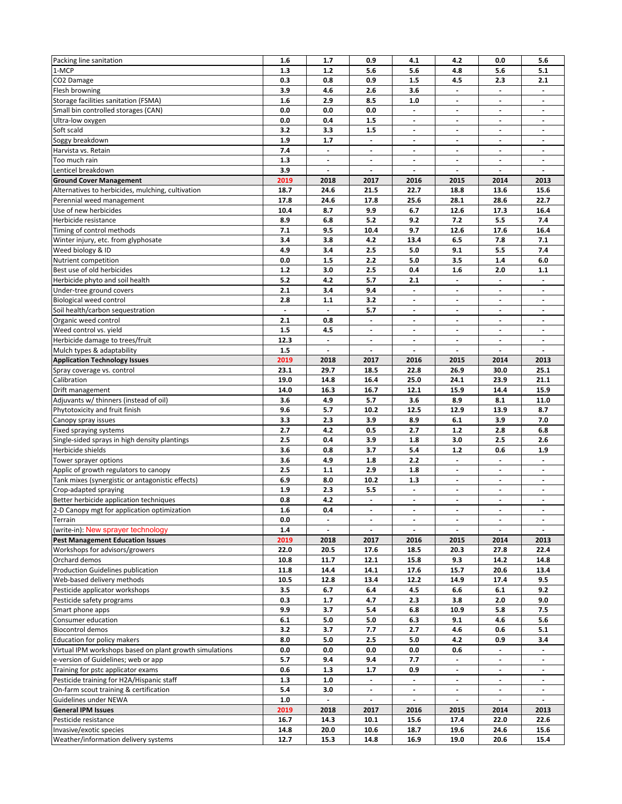| Packing line sanitation                                 | 1.6            | 1.7                      | 0.9                      | 4.1                      | 4.2                      | 0.0                      | 5.6                      |
|---------------------------------------------------------|----------------|--------------------------|--------------------------|--------------------------|--------------------------|--------------------------|--------------------------|
| 1-MCP                                                   | 1.3            | 1.2                      | 5.6                      | 5.6                      | 4.8                      | 5.6                      | 5.1                      |
| CO2 Damage                                              | 0.3            | 0.8                      | 0.9                      | 1.5                      | 4.5                      | 2.3                      | 2.1                      |
| Flesh browning                                          | 3.9            | 4.6                      | 2.6                      | 3.6                      | $\overline{\phantom{0}}$ | $\overline{\phantom{a}}$ | $\overline{\phantom{a}}$ |
| Storage facilities sanitation (FSMA)                    | 1.6            | 2.9                      | 8.5                      | 1.0                      | $\blacksquare$           | $\blacksquare$           | $\overline{\phantom{a}}$ |
| Small bin controlled storages (CAN)                     | 0.0            | 0.0                      | 0.0                      | $\overline{\phantom{a}}$ | $\overline{\phantom{a}}$ | $\overline{\phantom{a}}$ | $\overline{\phantom{a}}$ |
| Ultra-low oxygen                                        | 0.0            | 0.4                      | 1.5                      | $\overline{\phantom{a}}$ | $\overline{\phantom{a}}$ | $\overline{\phantom{a}}$ |                          |
| Soft scald                                              | 3.2            | 3.3                      | 1.5                      |                          |                          |                          |                          |
|                                                         |                |                          |                          | $\overline{\phantom{a}}$ | $\overline{\phantom{a}}$ | $\overline{\phantom{a}}$ | $\overline{\phantom{a}}$ |
| Soggy breakdown                                         | 1.9            | 1.7                      | $\overline{\phantom{a}}$ | $\overline{\phantom{a}}$ | $\overline{\phantom{a}}$ | $\overline{\phantom{a}}$ | $\overline{\phantom{a}}$ |
| Harvista vs. Retain                                     | 7.4            |                          | $\frac{1}{2}$            | $\overline{\phantom{a}}$ | $\overline{\phantom{a}}$ |                          |                          |
| Too much rain                                           | 1.3            | $\overline{\phantom{a}}$ | $\overline{\phantom{a}}$ | $\overline{\phantom{a}}$ | $\overline{\phantom{a}}$ | $\overline{\phantom{a}}$ | $\overline{\phantom{a}}$ |
| Lenticel breakdown                                      | 3.9            |                          | $\overline{a}$           | $\overline{\phantom{a}}$ | $\overline{\phantom{a}}$ | $\overline{\phantom{a}}$ | $\overline{\phantom{a}}$ |
| <b>Ground Cover Management</b>                          | 2019           | 2018                     | 2017                     | 2016                     | 2015                     | 2014                     | 2013                     |
| Alternatives to herbicides, mulching, cultivation       | 18.7           | 24.6                     | 21.5                     | 22.7                     | 18.8                     | 13.6                     | 15.6                     |
| Perennial weed management                               | 17.8           | 24.6                     | 17.8                     | 25.6                     | 28.1                     | 28.6                     | 22.7                     |
| Use of new herbicides                                   | 10.4           | 8.7                      | 9.9                      | 6.7                      | 12.6                     | 17.3                     | 16.4                     |
| Herbicide resistance                                    | 8.9            | 6.8                      | 5.2                      | 9.2                      | 7.2                      | 5.5                      | 7.4                      |
| Timing of control methods                               | 7.1            | 9.5                      | 10.4                     | 9.7                      | 12.6                     | 17.6                     | 16.4                     |
| Winter injury, etc. from glyphosate                     | 3.4            | 3.8                      | 4.2                      | 13.4                     | 6.5                      | 7.8                      | 7.1                      |
|                                                         |                |                          |                          |                          |                          |                          |                          |
| Weed biology & ID                                       | 4.9            | 3.4                      | 2.5                      | 5.0                      | 9.1                      | 5.5                      | 7.4                      |
| Nutrient competition                                    | 0.0            | 1.5                      | 2.2                      | 5.0                      | 3.5                      | 1.4                      | 6.0                      |
| Best use of old herbicides                              | $1.2$          | 3.0                      | 2.5                      | 0.4                      | 1.6                      | 2.0                      | 1.1                      |
| Herbicide phyto and soil health                         | 5.2            | 4.2                      | 5.7                      | 2.1                      | $\overline{\phantom{a}}$ | $\blacksquare$           | $\overline{\phantom{a}}$ |
| Under-tree ground covers                                | 2.1            | 3.4                      | 9.4                      |                          | $\overline{\phantom{a}}$ | $\overline{\phantom{a}}$ |                          |
| Biological weed control                                 | 2.8            | 1.1                      | 3.2                      | $\overline{\phantom{a}}$ | $\overline{\phantom{a}}$ | $\blacksquare$           | $\overline{\phantom{a}}$ |
| Soil health/carbon sequestration                        | $\blacksquare$ | $\blacksquare$           | 5.7                      | $\overline{\phantom{a}}$ | $\overline{\phantom{a}}$ | $\blacksquare$           | $\overline{\phantom{a}}$ |
| Organic weed control                                    | 2.1            | 0.8                      | $\overline{a}$           | $\blacksquare$           | $\overline{\phantom{a}}$ | $\blacksquare$           | $\blacksquare$           |
| Weed control vs. yield                                  | 1.5            | 4.5                      | $\overline{\phantom{a}}$ | $\overline{\phantom{a}}$ | ۰                        | $\overline{\phantom{a}}$ | $\overline{\phantom{a}}$ |
| Herbicide damage to trees/fruit                         | 12.3           | $\overline{\phantom{a}}$ | $\overline{\phantom{a}}$ | $\overline{\phantom{a}}$ | $\overline{\phantom{a}}$ | $\overline{\phantom{a}}$ | $\overline{\phantom{a}}$ |
| Mulch types & adaptability                              | 1.5            | $\overline{a}$           | $\overline{a}$           | $\blacksquare$           | $\overline{a}$           | $\blacksquare$           | $\overline{a}$           |
| <b>Application Technology Issues</b>                    | 2019           | 2018                     | 2017                     | 2016                     | 2015                     | 2014                     | 2013                     |
|                                                         |                |                          |                          |                          |                          |                          |                          |
| Spray coverage vs. control                              | 23.1           | 29.7                     | 18.5                     | 22.8                     | 26.9                     | 30.0                     | 25.1                     |
| Calibration                                             | 19.0           | 14.8                     | 16.4                     | 25.0                     | 24.1                     | 23.9                     | 21.1                     |
| Drift management                                        | 14.0           | 16.3                     | 16.7                     | 12.1                     | 15.9                     | 14.4                     | 15.9                     |
| Adjuvants w/ thinners (instead of oil)                  | 3.6            | 4.9                      | 5.7                      | 3.6                      | 8.9                      | 8.1                      | 11.0                     |
| Phytotoxicity and fruit finish                          | 9.6            | 5.7                      | 10.2                     | 12.5                     | 12.9                     | 13.9                     | 8.7                      |
| Canopy spray issues                                     | 3.3            | 2.3                      | 3.9                      | 8.9                      | 6.1                      | 3.9                      | 7.0                      |
| Fixed spraying systems                                  | 2.7            | 4.2                      | 0.5                      | 2.7                      | $1.2$                    | 2.8                      | 6.8                      |
| Single-sided sprays in high density plantings           | 2.5            | 0.4                      | 3.9                      | 1.8                      | 3.0                      | 2.5                      | 2.6                      |
| Herbicide shields                                       | 3.6            | 0.8                      | 3.7                      | 5.4                      | $1.2$                    | 0.6                      | 1.9                      |
| Tower sprayer options                                   | 3.6            | 4.9                      | 1.8                      | 2.2                      | $\blacksquare$           | $\blacksquare$           | $\blacksquare$           |
|                                                         | 2.5            | 1.1                      | 2.9                      | 1.8                      |                          |                          |                          |
| Applic of growth regulators to canopy                   |                |                          |                          |                          | $\overline{\phantom{a}}$ | $\overline{\phantom{a}}$ | $\overline{\phantom{a}}$ |
| Tank mixes (synergistic or antagonistic effects)        | 6.9            | 8.0                      | 10.2                     | 1.3                      | $\overline{\phantom{a}}$ | $\overline{\phantom{a}}$ | $\overline{\phantom{a}}$ |
| Crop-adapted spraying                                   | 1.9            | 2.3                      | 5.5                      | $\blacksquare$           | $\blacksquare$           | $\blacksquare$           | $\blacksquare$           |
| Better herbicide application techniques                 | 0.8            | 4.2                      | $\overline{\phantom{a}}$ | $\overline{\phantom{a}}$ | $\overline{\phantom{a}}$ | $\overline{\phantom{a}}$ | $\overline{\phantom{a}}$ |
| 2-D Canopy mgt for application optimization             | $1.6\,$        | 0.4                      |                          |                          |                          |                          |                          |
| Terrain                                                 | 0.0            | $\overline{\phantom{a}}$ | $\overline{\phantom{a}}$ | $\overline{\phantom{a}}$ | $\blacksquare$           | $\blacksquare$           | $\blacksquare$           |
| (write-in): New sprayer technology                      | 1.4            |                          | $\blacksquare$           | $\overline{\phantom{a}}$ | $\blacksquare$           |                          |                          |
| <b>Pest Management Education Issues</b>                 | 2019           | 2018                     | 2017                     | 2016                     | 2015                     | 2014                     | 2013                     |
| Workshops for advisors/growers                          | 22.0           | 20.5                     | 17.6                     | 18.5                     | 20.3                     | 27.8                     | 22.4                     |
| Orchard demos                                           | 10.8           | 11.7                     | 12.1                     | 15.8                     | 9.3                      | 14.2                     | 14.8                     |
| Production Guidelines publication                       | 11.8           | 14.4                     | 14.1                     | 17.6                     | 15.7                     | 20.6                     | 13.4                     |
| Web-based delivery methods                              | 10.5           | 12.8                     | 13.4                     | 12.2                     | 14.9                     | 17.4                     | 9.5                      |
|                                                         | 3.5            | 6.7                      | 6.4                      | 4.5                      | 6.6                      | 6.1                      | 9.2                      |
| Pesticide applicator workshops                          |                |                          |                          |                          |                          |                          |                          |
| Pesticide safety programs                               | 0.3            | 1.7                      | 4.7                      | 2.3                      | 3.8                      | 2.0                      | 9.0                      |
| Smart phone apps                                        | 9.9            | 3.7                      | 5.4                      | 6.8                      | 10.9                     | 5.8                      | 7.5                      |
| Consumer education                                      | 6.1            | 5.0                      | 5.0                      | 6.3                      | 9.1                      | 4.6                      | 5.6                      |
| <b>Biocontrol demos</b>                                 | 3.2            | 3.7                      | 7.7                      | 2.7                      | 4.6                      | 0.6                      | 5.1                      |
| Education for policy makers                             | 8.0            | 5.0                      | 2.5                      | 5.0                      | 4.2                      | 0.9                      | 3.4                      |
| Virtual IPM workshops based on plant growth simulations | 0.0            | 0.0                      | 0.0                      | 0.0                      | 0.6                      |                          |                          |
| e-version of Guidelines; web or app                     | 5.7            | 9.4                      | 9.4                      | 7.7                      | $\blacksquare$           | $\overline{\phantom{a}}$ | $\overline{\phantom{a}}$ |
| Training for pstc applicator exams                      | 0.6            | 1.3                      | 1.7                      | 0.9                      | $\blacksquare$           | $\overline{\phantom{a}}$ | $\overline{\phantom{a}}$ |
| Pesticide training for H2A/Hispanic staff               | 1.3            | 1.0                      |                          |                          |                          |                          |                          |
| On-farm scout training & certification                  | 5.4            | 3.0                      | $\overline{\phantom{a}}$ | $\overline{\phantom{a}}$ | $\blacksquare$           | $\overline{\phantom{a}}$ | $\overline{\phantom{a}}$ |
|                                                         | 1.0            |                          |                          |                          |                          |                          |                          |
| Guidelines under NEWA                                   |                | $\overline{\phantom{a}}$ | $\overline{\phantom{a}}$ | $\overline{\phantom{a}}$ | $\overline{\phantom{a}}$ | $\overline{\phantom{a}}$ | $\overline{\phantom{a}}$ |
| <b>General IPM Issues</b>                               | 2019           | 2018                     | 2017                     | 2016                     | 2015                     | 2014                     | 2013                     |
| Pesticide resistance                                    | 16.7           | 14.3                     | 10.1                     | 15.6                     | 17.4                     | 22.0                     | 22.6                     |
| Invasive/exotic species                                 | 14.8           | 20.0                     | 10.6                     | 18.7                     | 19.6                     | 24.6                     | 15.6                     |
| Weather/information delivery systems                    | 12.7           | 15.3                     | 14.8                     | 16.9                     | 19.0                     | 20.6                     | 15.4                     |